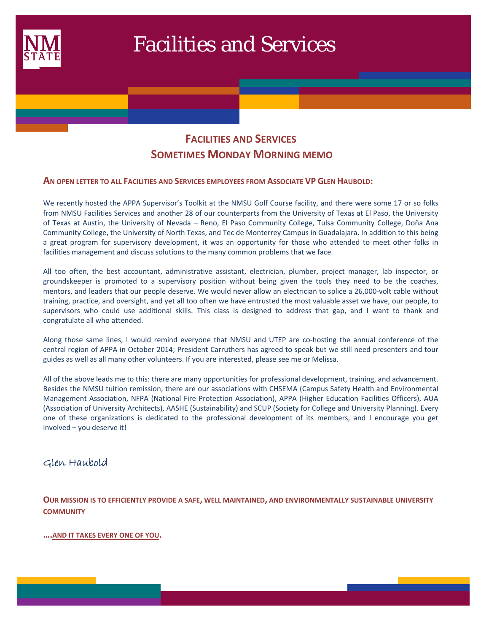

# **FACILITIES AND SERVICES SOMETIMES MONDAY MORNING MEMO**

#### **AN OPEN LETTER TO ALL FACILITIES AND SERVICES EMPLOYEES FROM ASSOCIATE VP GLEN HAUBOLD:**

We recently hosted the APPA Supervisor's Toolkit at the NMSU Golf Course facility, and there were some 17 or so folks from NMSU Facilities Services and another 28 of our counterparts from the University of Texas at El Paso, the University of Texas at Austin, the University of Nevada – Reno, El Paso Community College, Tulsa Community College, Doña Ana Community College, the University of North Texas, and Tec de Monterrey Campus in Guadalajara. In addition to this being a great program for supervisory development, it was an opportunity for those who attended to meet other folks in facilities management and discuss solutions to the many common problems that we face.

All too often, the best accountant, administrative assistant, electrician, plumber, project manager, lab inspector, or groundskeeper is promoted to a supervisory position without being given the tools they need to be the coaches, mentors, and leaders that our people deserve. We would never allow an electrician to splice a 26,000-volt cable without training, practice, and oversight, and yet all too often we have entrusted the most valuable asset we have, our people, to supervisors who could use additional skills. This class is designed to address that gap, and I want to thank and congratulate all who attended.

Along those same lines, I would remind everyone that NMSU and UTEP are co-hosting the annual conference of the central region of APPA in October 2014; President Carruthers has agreed to speak but we still need presenters and tour guides as well as all many other volunteers. If you are interested, please see me or Melissa.

All of the above leads me to this: there are many opportunities for professional development, training, and advancement. Besides the NMSU tuition remission, there are our associations with CHSEMA (Campus Safety Health and Environmental Management Association, NFPA (National Fire Protection Association), APPA (Higher Education Facilities Officers), AUA (Association of University Architects), AASHE (Sustainability) and SCUP (Society for College and University Planning). Every one of these organizations is dedicated to the professional development of its members, and I encourage you get involved – you deserve it!

#### Glen Haubold

**OUR MISSION IS TO EFFICIENTLY PROVIDE A SAFE, WELL MAINTAINED, AND ENVIRONMENTALLY SUSTAINABLE UNIVERSITY COMMUNITY**

**….AND IT TAKES EVERY ONE OF YOU.**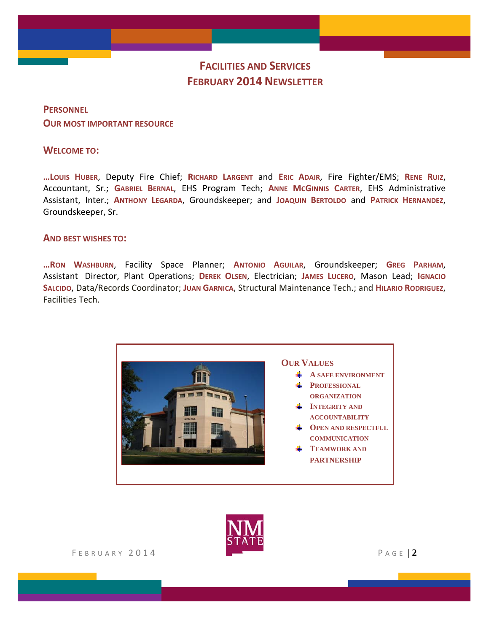# **FACILITIES AND SERVICES FEBRUARY 2014 NEWSLETTER**

# **PERSONNEL OUR MOST IMPORTANT RESOURCE**

#### **WELCOME TO:**

**…LOUIS HUBER**, Deputy Fire Chief; **RICHARD LARGENT** and **ERIC ADAIR**, Fire Fighter/EMS; **RENE RUIZ**, Accountant, Sr.; **GABRIEL BERNAL**, EHS Program Tech; **ANNE MCGINNIS CARTER**, EHS Administrative Assistant, Inter.; **ANTHONY LEGARDA**, Groundskeeper; and **JOAQUIN BERTOLDO** and **PATRICK HERNANDEZ**, Groundskeeper, Sr.

#### **AND BEST WISHES TO:**

**…RON WASHBURN**, Facility Space Planner; **ANTONIO AGUILAR**, Groundskeeper; **GREG PARHAM**, Assistant Director, Plant Operations; **DEREK OLSEN**, Electrician; **JAMES LUCERO**, Mason Lead; **IGNACIO SALCIDO**, Data/Records Coordinator; **JUAN GARNICA**, Structural Maintenance Tech.; and **HILARIO RODRIGUEZ**, Facilities Tech.



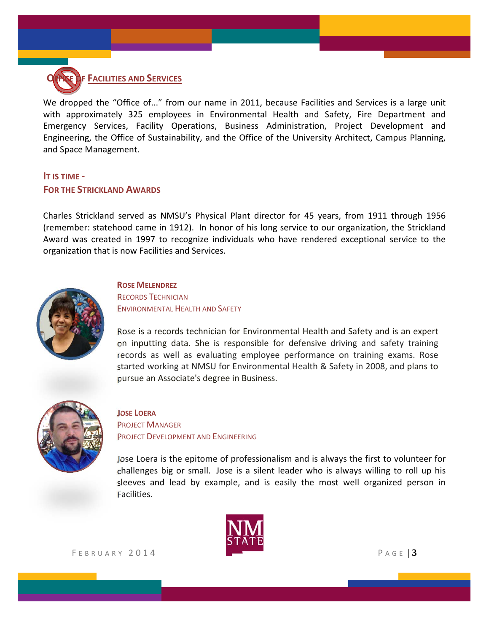

We dropped the "Office of..." from our name in 2011, because Facilities and Services is a large unit with approximately 325 employees in Environmental Health and Safety, Fire Department and Emergency Services, Facility Operations, Business Administration, Project Development and Engineering, the Office of Sustainability, and the Office of the University Architect, Campus Planning, and Space Management.

## **IT IS TIME ‐ FOR THE STRICKLAND AWARDS**

Charles Strickland served as NMSU's Physical Plant director for 45 years, from 1911 through 1956 (remember: statehood came in 1912). In honor of his long service to our organization, the Strickland Award was created in 1997 to recognize individuals who have rendered exceptional service to the organization that is now Facilities and Services.



#### **ROSE MELENDREZ**

RECORDS TECHNICIAN ENVIRONMENTAL HEALTH AND SAFETY

Rose is a records technician for Environmental Health and Safety and is an expert on inputting data. She is responsible for defensive driving and safety training records as well as evaluating employee performance on training exams. Rose started working at NMSU for Environmental Health & Safety in 2008, and plans to pursue an Associate's degree in Business.



**JOSE LOERA** PROJECT MANAGER PROJECT DEVELOPMENT AND ENGINEERING

Jose Loera is the epitome of professionalism and is always the first to volunteer for challenges big or small. Jose is a silent leader who is always willing to roll up his sleeves and lead by example, and is easily the most well organized person in Facilities.

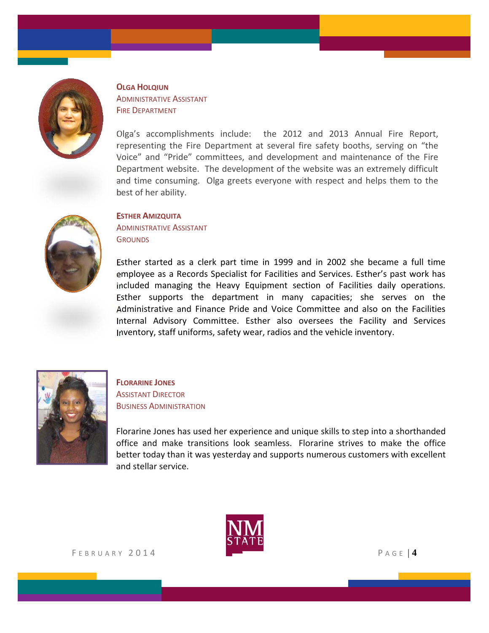

**OLGA HOLQIUN** ADMINISTRATIVE ASSISTANT **FIRE DEPARTMENT** 

Olga's accomplishments include: the 2012 and 2013 Annual Fire Report, representing the Fire Department at several fire safety booths, serving on "the Voice" and "Pride" committees, and development and maintenance of the Fire Department website. The development of the website was an extremely difficult and time consuming. Olga greets everyone with respect and helps them to the best of her ability.



#### **ESTHER AMIZQUITA**

ADMINISTRATIVE ASSISTANT **GROUNDS** 

Esther started as a clerk part time in 1999 and in 2002 she became a full time employee as a Records Specialist for Facilities and Services. Esther's past work has included managing the Heavy Equipment section of Facilities daily operations. Esther supports the department in many capacities; she serves on the Administrative and Finance Pride and Voice Committee and also on the Facilities Internal Advisory Committee. Esther also oversees the Facility and Services Inventory, staff uniforms, safety wear, radios and the vehicle inventory.



#### **FLORARINE JONES ASSISTANT DIRECTOR** BUSINESS ADMINISTRATION

Florarine Jones has used her experience and unique skills to step into a shorthanded office and make transitions look seamless. Florarine strives to make the office better today than it was yesterday and supports numerous customers with excellent and stellar service.

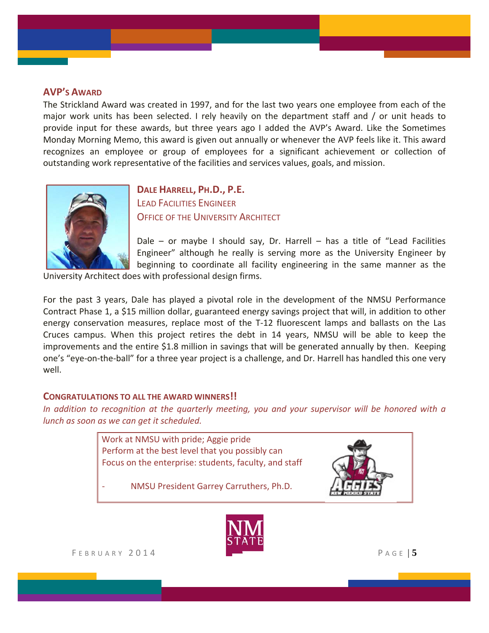#### **AVP'S AWARD**

The Strickland Award was created in 1997, and for the last two years one employee from each of the major work units has been selected. I rely heavily on the department staff and / or unit heads to provide input for these awards, but three years ago I added the AVP's Award. Like the Sometimes Monday Morning Memo, this award is given out annually or whenever the AVP feels like it. This award recognizes an employee or group of employees for a significant achievement or collection of outstanding work representative of the facilities and services values, goals, and mission.



**DALE HARRELL, PH.D., P.E.** LEAD FACILITIES ENGINEER **OFFICE OF THE UNIVERSITY ARCHITECT** 

Dale – or maybe I should say, Dr. Harrell – has a title of "Lead Facilities Engineer" although he really is serving more as the University Engineer by beginning to coordinate all facility engineering in the same manner as the

University Architect does with professional design firms.

For the past 3 years, Dale has played a pivotal role in the development of the NMSU Performance Contract Phase 1, a \$15 million dollar, guaranteed energy savings project that will, in addition to other energy conservation measures, replace most of the T-12 fluorescent lamps and ballasts on the Las Cruces campus. When this project retires the debt in 14 years, NMSU will be able to keep the improvements and the entire \$1.8 million in savings that will be generated annually by then. Keeping one's "eye‐on‐the‐ball" for a three year project is a challenge, and Dr. Harrell has handled this one very well.

#### **CONGRATULATIONS TO ALL THE AWARD WINNERS!!**

*In addition to recognition at the quarterly meeting, you and your supervisor will be honored with a lunch as soon as we can get it scheduled.*





F EBRUARY 2014 P AGE | **5**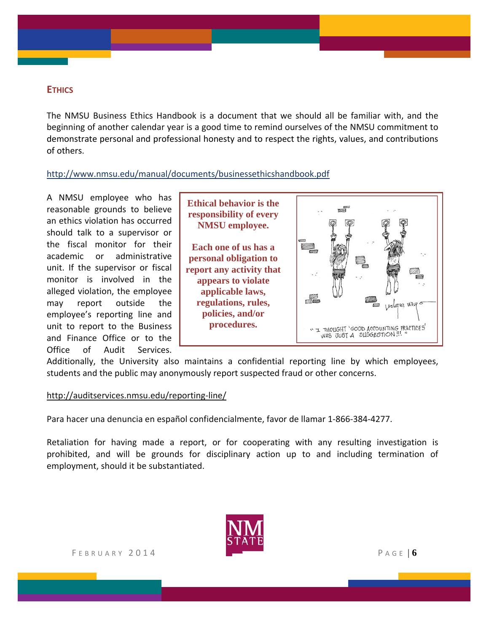### **ETHICS**

The NMSU Business Ethics Handbook is a document that we should all be familiar with, and the beginning of another calendar year is a good time to remind ourselves of the NMSU commitment to demonstrate personal and professional honesty and to respect the rights, values, and contributions of others.

#### http://www.nmsu.edu/manual/documents/businessethicshandbook.pdf

A NMSU employee who has reasonable grounds to believe an ethics violation has occurred should talk to a supervisor or the fiscal monitor for their academic or administrative unit. If the supervisor or fiscal monitor is involved in the alleged violation, the employee may report outside the employee's reporting line and unit to report to the Business and Finance Office or to the Office of Audit Services.

**Ethical behavior is the responsibility of every NMSU employee.** 

**Each one of us has a personal obligation to report any activity that appears to violate applicable laws, regulations, rules, policies, and/or procedures.**



Additionally, the University also maintains a confidential reporting line by which employees, students and the public may anonymously report suspected fraud or other concerns.

#### http://auditservices.nmsu.edu/reporting‐line/

Para hacer una denuncia en español confidencialmente, favor de llamar 1‐866‐384‐4277.

Retaliation for having made a report, or for cooperating with any resulting investigation is prohibited, and will be grounds for disciplinary action up to and including termination of employment, should it be substantiated.

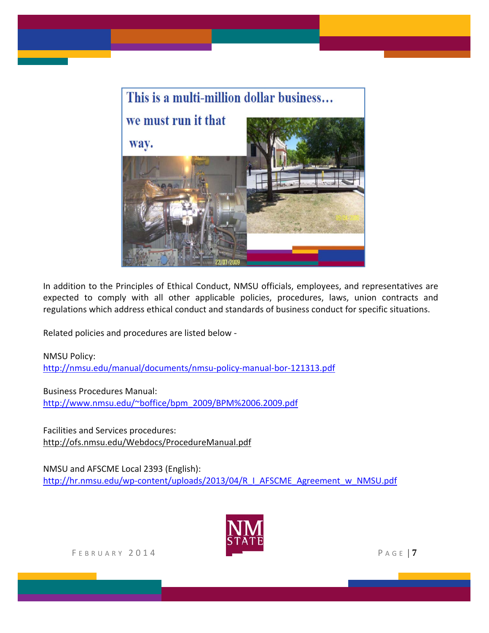

In addition to the Principles of Ethical Conduct, NMSU officials, employees, and representatives are expected to comply with all other applicable policies, procedures, laws, union contracts and regulations which address ethical conduct and standards of business conduct for specific situations.

Related policies and procedures are listed below ‐

NMSU Policy:

http://nmsu.edu/manual/documents/nmsu‐policy‐manual‐bor‐121313.pdf

Business Procedures Manual: http://www.nmsu.edu/~boffice/bpm\_2009/BPM%2006.2009.pdf

Facilities and Services procedures: http://ofs.nmsu.edu/Webdocs/ProcedureManual.pdf

NMSU and AFSCME Local 2393 (English): http://hr.nmsu.edu/wp-content/uploads/2013/04/R\_I\_AFSCME\_Agreement\_w\_NMSU.pdf

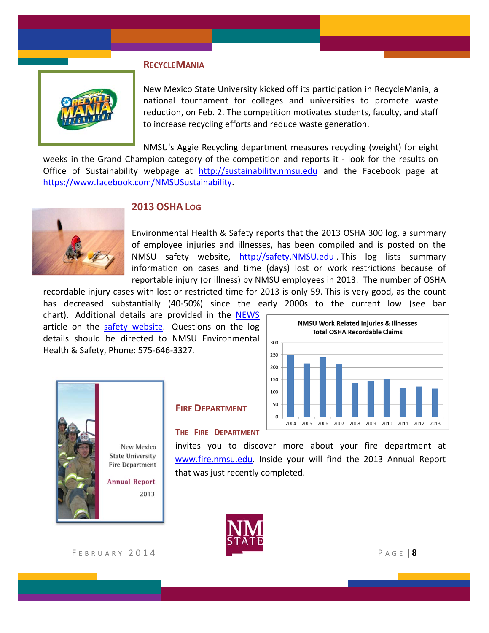#### **RECYCLEMANIA**



New Mexico State University kicked off its participation in RecycleMania, a national tournament for colleges and universities to promote waste reduction, on Feb. 2. The competition motivates students, faculty, and staff to increase recycling efforts and reduce waste generation.

NMSU's Aggie Recycling department measures recycling (weight) for eight weeks in the Grand Champion category of the competition and reports it - look for the results on Office of Sustainability webpage at http://sustainability.nmsu.edu and the Facebook page at https://www.facebook.com/NMSUSustainability.



## **2013 OSHA LOG**

Environmental Health & Safety reports that the 2013 OSHA 300 log, a summary of employee injuries and illnesses, has been compiled and is posted on the NMSU safety website, http://safety.NMSU.edu . This log lists summary information on cases and time (days) lost or work restrictions because of reportable injury (or illness) by NMSU employees in 2013. The number of OSHA

recordable injury cases with lost or restricted time for 2013 is only 59. This is very good, as the count has decreased substantially (40‐50%) since the early 2000s to the current low (see bar

chart). Additional details are provided in the NEWS article on the safety website. Questions on the log details should be directed to NMSU Environmental Health & Safety, Phone: 575‐646‐3327*.*



New Mexico **State University Fire Department** 

**Annual Report** 2013

### **FIRE DEPARTMENT**

#### **THE FIRE DEPARTMENT**

invites you to discover more about your fire department at www.fire.nmsu.edu. Inside your will find the 2013 Annual Report that was just recently completed.



FEBRUARY 2014 **PAGE 18**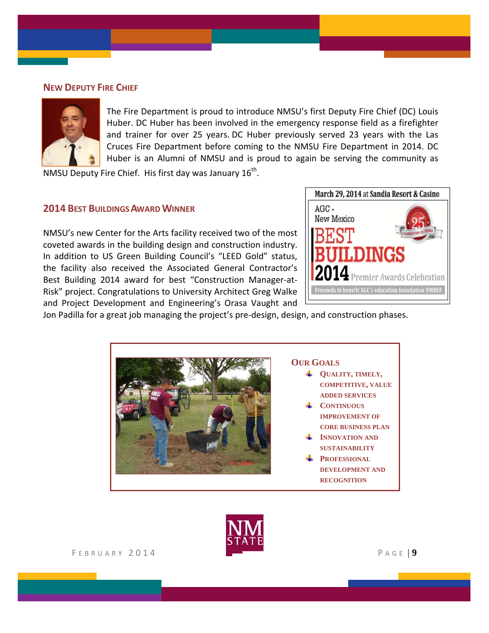#### **NEW DEPUTY FIRE CHIEF**



The Fire Department is proud to introduce NMSU's first Deputy Fire Chief (DC) Louis Huber. DC Huber has been involved in the emergency response field as a firefighter and trainer for over 25 years. DC Huber previously served 23 years with the Las Cruces Fire Department before coming to the NMSU Fire Department in 2014. DC Huber is an Alumni of NMSU and is proud to again be serving the community as

NMSU Deputy Fire Chief. His first day was January 16<sup>th</sup>.

#### **2014 BEST BUILDINGSAWARDWINNER**

NMSU's new Center for the Arts facility received two of the most coveted awards in the building design and construction industry. In addition to US Green Building Council's "LEED Gold" status, the facility also received the Associated General Contractor's Best Building 2014 award for best "Construction Manager‐at‐ Risk" project. Congratulations to University Architect Greg Walke and Project Development and Engineering's Orasa Vaught and



Jon Padilla for a great job managing the project's pre‐design, design, and construction phases.



# **OUR GOALS**

- **QUALITY, TIMELY, COMPETITIVE, VALUE ADDED SERVICES**
- **CONTINUOUS IMPROVEMENT OF CORE BUSINESS PLAN**
- **INNOVATION AND SUSTAINABILITY**
- **PROFESSIONAL DEVELOPMENT AND RECOGNITION**

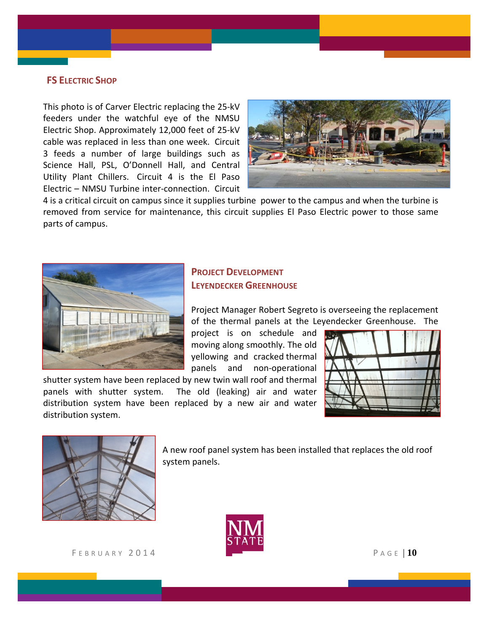#### **FS ELECTRIC SHOP**

This photo is of Carver Electric replacing the 25‐kV feeders under the watchful eye of the NMSU Electric Shop. Approximately 12,000 feet of 25‐kV cable was replaced in less than one week. Circuit 3 feeds a number of large buildings such as Science Hall, PSL, O'Donnell Hall, and Central Utility Plant Chillers. Circuit 4 is the El Paso Electric – NMSU Turbine inter‐connection. Circuit



4 is a critical circuit on campus since it supplies turbine power to the campus and when the turbine is removed from service for maintenance, this circuit supplies El Paso Electric power to those same parts of campus.



## **PROJECT DEVELOPMENT LEYENDECKER GREENHOUSE**

Project Manager Robert Segreto is overseeing the replacement of the thermal panels at the Leyendecker Greenhouse. The

project is on schedule and moving along smoothly. The old yellowing and cracked thermal panels and non‐operational

shutter system have been replaced by new twin wall roof and thermal panels with shutter system. The old (leaking) air and water distribution system have been replaced by a new air and water distribution system.





A new roof panel system has been installed that replaces the old roof system panels.



F EBRUARY 2014 P AGE | **10**